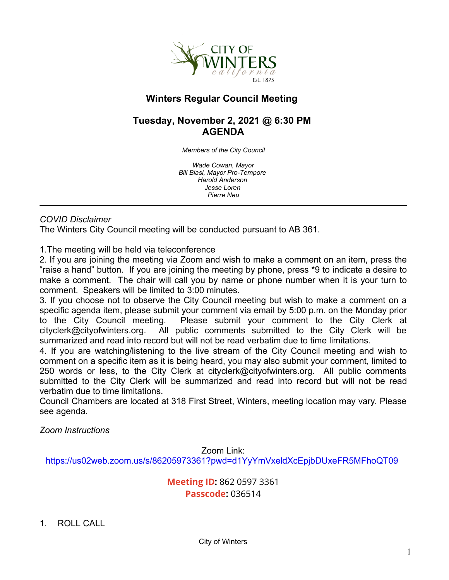

# **Winters Regular Council Meeting**

# **Tuesday, November 2, 2021 @ 6:30 PM AGENDA**

*Members of the City Council*

*Wade Cowan, Mayor Bill Biasi, Mayor Pro-Tempore Harold Anderson Jesse Loren Pierre Neu*

### *COVID Disclaimer*

The Winters City Council meeting will be conducted pursuant to AB 361.

1.The meeting will be held via teleconference

2. If you are joining the meeting via Zoom and wish to make a comment on an item, press the "raise a hand" button. If you are joining the meeting by phone, press \*9 to indicate a desire to make a comment. The chair will call you by name or phone number when it is your turn to comment. Speakers will be limited to 3:00 minutes.

3. If you choose not to observe the City Council meeting but wish to make a comment on a specific agenda item, please submit your comment via email by 5:00 p.m. on the Monday prior to the City Council meeting. Please submit your comment to the City Clerk at cityclerk@cityofwinters.org. All public comments submitted to the City Clerk will be summarized and read into record but will not be read verbatim due to time limitations.

4. If you are watching/listening to the live stream of the City Council meeting and wish to comment on a specific item as it is being heard, you may also submit your comment, limited to 250 words or less, to the City Clerk at cityclerk@cityofwinters.org. All public comments submitted to the City Clerk will be summarized and read into record but will not be read verbatim due to time limitations.

Council Chambers are located at 318 First Street, Winters, meeting location may vary. Please see agenda.

*Zoom Instructions*

Zoom Link: [https://us02web.zoom.us/s/86205973361?pwd=d1YyYmVxeldXcEpjbDUxeFR5MFhoQT09](https://us02web.zoom.us/j/86205973361?pwd=d1YyYmVxeldXcEpjbDUxeFR5MFhoQT09)

# **Meeting ID:** 862 0597 3361 **Passcode:** 036514

1. ROLL CALL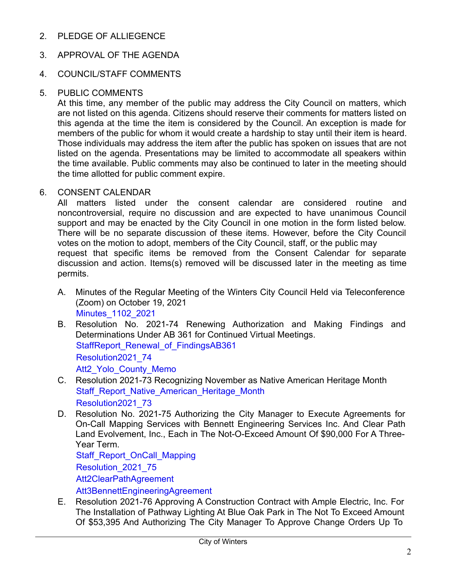2. PLEDGE OF ALLIEGENCE

# 3. APPROVAL OF THE AGENDA

### 4. COUNCIL/STAFF COMMENTS

#### 5. PUBLIC COMMENTS

At this time, any member of the public may address the City Council on matters, which are not listed on this agenda. Citizens should reserve their comments for matters listed on this agenda at the time the item is considered by the Council. An exception is made for members of the public for whom it would create a hardship to stay until their item is heard. Those individuals may address the item after the public has spoken on issues that are not listed on the agenda. Presentations may be limited to accommodate all speakers within the time available. Public comments may also be continued to later in the meeting should the time allotted for public comment expire.

#### 6. CONSENT CALENDAR

All matters listed under the consent calendar are considered routine and noncontroversial, require no discussion and are expected to have unanimous Council support and may be enacted by the City Council in one motion in the form listed below. There will be no separate discussion of these items. However, before the City Council votes on the motion to adopt, members of the City Council, staff, or the public may request that specific items be removed from the Consent Calendar for separate discussion and action. Items(s) removed will be discussed later in the meeting as time permits.

- A. Minutes of the Regular Meeting of the Winters City Council Held via Teleconference (Zoom) on October 19, 2021 [Minutes\\_1102\\_2021](https://legistarweb-production.s3.amazonaws.com/uploads/attachment/pdf/1118594/Minutes2021_1102__1_.pdf)
- B. Resolution No. 2021-74 Renewing Authorization and Making Findings and Determinations Under AB 361 for Continued Virtual Meetings. StaffReport Renewal of FindingsAB361 [Resolution2021\\_74](https://legistarweb-production.s3.amazonaws.com/uploads/attachment/pdf/1119342/Resolution2021_74__1_.pdf) Att2 Yolo County Memo
- C. Resolution 2021-73 Recognizing November as Native American Heritage Month Staff Report Native American Heritage Month [Resolution2021\\_73](https://legistarweb-production.s3.amazonaws.com/uploads/attachment/pdf/1118579/Resolution2021___NativeAmericanHeritageMonth__3_.pdf)
- D. Resolution No. 2021-75 Authorizing the City Manager to Execute Agreements for On-Call Mapping Services with Bennett Engineering Services Inc. And Clear Path Land Evolvement, Inc., Each in The Not-O-Exceed Amount Of \$90,000 For A Three-Year Term.

[Staff\\_Report\\_OnCall\\_Mapping](https://legistarweb-production.s3.amazonaws.com/uploads/attachment/pdf/1120621/Winters__Staff_Report_re_On-Call_Mapping_Services__1_.pdf) [Resolution\\_2021\\_75](https://legistarweb-production.s3.amazonaws.com/uploads/attachment/pdf/1120607/Resolution__On-Call_Mapping_Agreements.pdf) [Att2ClearPathAgreement](https://legistarweb-production.s3.amazonaws.com/uploads/attachment/pdf/1114636/Clear_Path_signed_Agreement.pdf)

[Att3BennettEngineeringAgreement](https://legistarweb-production.s3.amazonaws.com/uploads/attachment/pdf/1114635/Bennett_signed_Agreement.pdf)

E. Resolution 2021-76 Approving A Construction Contract with Ample Electric, Inc. For The Installation of Pathway Lighting At Blue Oak Park in The Not To Exceed Amount Of \$53,395 And Authorizing The City Manager To Approve Change Orders Up To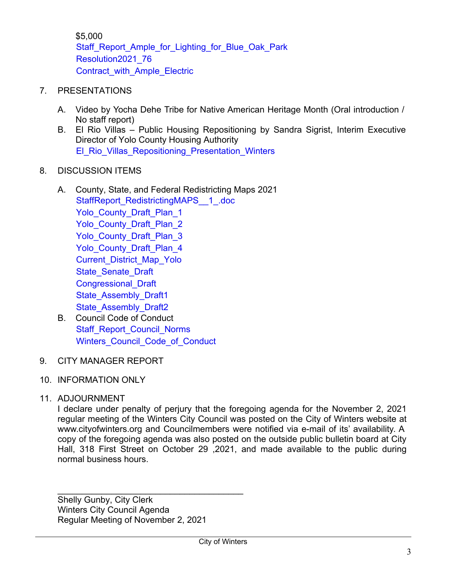\$5,000 Staff Report Ample for Lighting for Blue Oak Park [Resolution2021\\_76](https://legistarweb-production.s3.amazonaws.com/uploads/attachment/pdf/1120667/Winters__Resolution_Approving_Construction_Contract_w__Ample_Electric_re_Pathway_Lighting_at_Blue_Oak_Park__1_.pdf) [Contract\\_with\\_Ample\\_Electric](https://legistarweb-production.s3.amazonaws.com/uploads/attachment/pdf/1115275/Contract_with_Ample_Eletric.pdf)

### 7. PRESENTATIONS

- A. Video by Yocha Dehe Tribe for Native American Heritage Month (Oral introduction / No staff report)
- B. El Rio Villas Public Housing Repositioning by Sandra Sigrist, Interim Executive Director of Yolo County Housing Authority [El\\_Rio\\_Villas\\_Repositioning\\_Presentation\\_Winters](https://legistarweb-production.s3.amazonaws.com/uploads/attachment/pdf/1120587/El_Rio_Villas_Repositioning_Presentation_Winters_City_Council_11.02.2021.pdf)

### 8. DISCUSSION ITEMS

- A. County, State, and Federal Redistricting Maps 2021 [StaffReport\\_RedistrictingMAPS\\_\\_1\\_.doc](https://legistarweb-production.s3.amazonaws.com/uploads/attachment/pdf/1120407/StaffReport_RedistrictingMAPS__1_.pdf) Yolo County Draft Plan 1 Yolo County Draft Plan 2 Yolo County Draft Plan 3 Yolo County Draft Plan 4 [Current\\_District\\_Map\\_Yolo](https://legistarweb-production.s3.amazonaws.com/uploads/attachment/pdf/1112715/CurrentDistrictMapYOLO.pdf) State Senate Draft [Congressional\\_Draft](https://legistarweb-production.s3.amazonaws.com/uploads/attachment/pdf/1112714/CD_B_Central_Nor_CalCONGRESSIONAL.pdf) State Assembly Draft1 State Assembly Draft2
- B. Council Code of Conduct [Staff\\_Report\\_Council\\_Norms](https://legistarweb-production.s3.amazonaws.com/uploads/attachment/pdf/1120678/CouncilNorms_2021_1102__1_.pdf) Winters Council Code of Conduct
- 9. CITY MANAGER REPORT
- 10. INFORMATION ONLY

# 11. ADJOURNMENT

I declare under penalty of perjury that the foregoing agenda for the November 2, 2021 regular meeting of the Winters City Council was posted on the City of Winters website at www.cityofwinters.org and Councilmembers were notified via e-mail of its' availability. A copy of the foregoing agenda was also posted on the outside public bulletin board at City Hall, 318 First Street on October 29 ,2021, and made available to the public during normal business hours.

Shelly Gunby, City Clerk Winters City Council Agenda Regular Meeting of November 2, 2021

\_\_\_\_\_\_\_\_\_\_\_\_\_\_\_\_\_\_\_\_\_\_\_\_\_\_\_\_\_\_\_\_\_\_\_\_\_\_